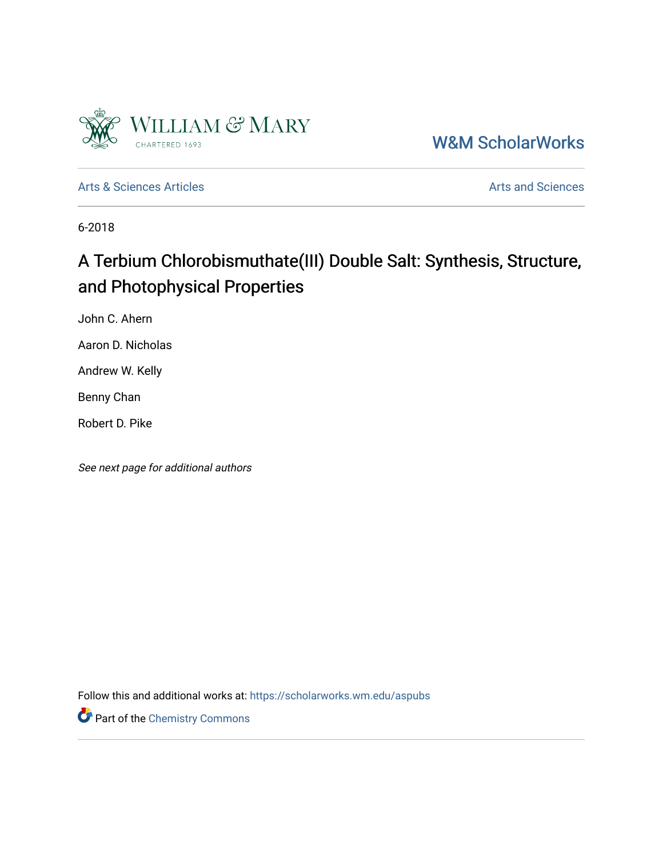

[W&M ScholarWorks](https://scholarworks.wm.edu/) 

[Arts & Sciences Articles](https://scholarworks.wm.edu/aspubs) **Articles** [Arts and Sciences](https://scholarworks.wm.edu/as) Articles Arts and Sciences Arts and Sciences

6-2018

# A Terbium Chlorobismuthate(III) Double Salt: Synthesis, Structure, and Photophysical Properties

John C. Ahern

Aaron D. Nicholas

Andrew W. Kelly

Benny Chan

Robert D. Pike

See next page for additional authors

Follow this and additional works at: [https://scholarworks.wm.edu/aspubs](https://scholarworks.wm.edu/aspubs?utm_source=scholarworks.wm.edu%2Faspubs%2F1998&utm_medium=PDF&utm_campaign=PDFCoverPages) 

Part of the [Chemistry Commons](http://network.bepress.com/hgg/discipline/131?utm_source=scholarworks.wm.edu%2Faspubs%2F1998&utm_medium=PDF&utm_campaign=PDFCoverPages)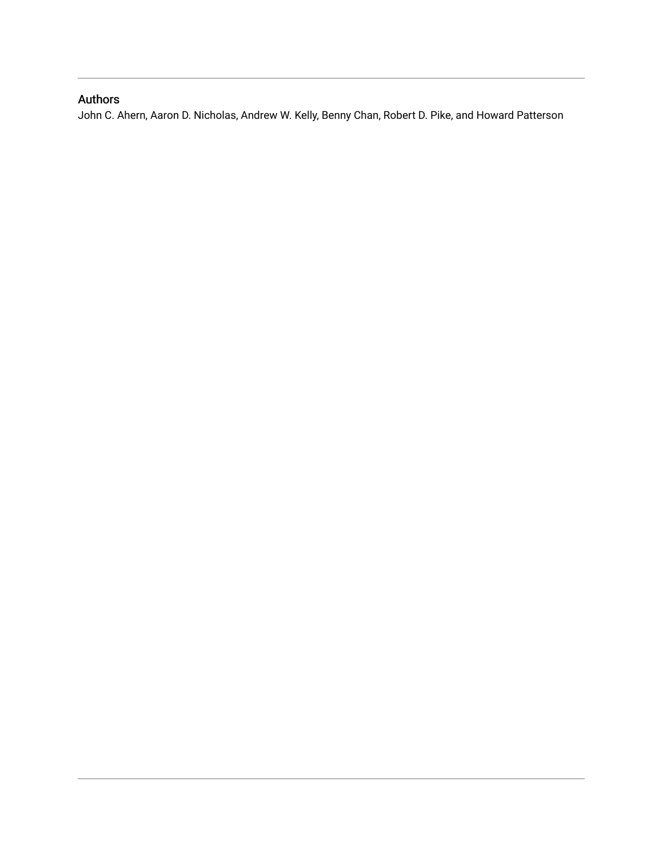# Authors

John C. Ahern, Aaron D. Nicholas, Andrew W. Kelly, Benny Chan, Robert D. Pike, and Howard Patterson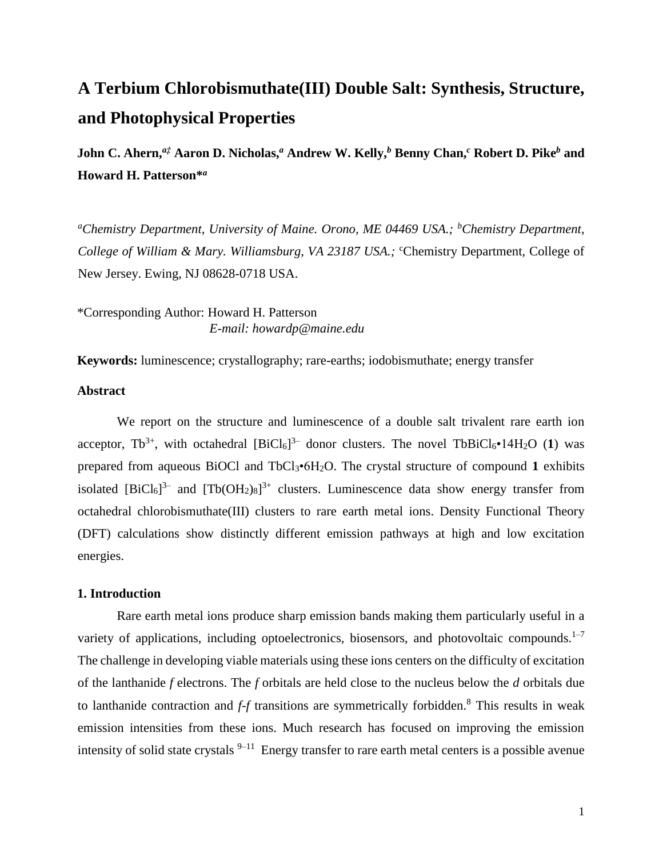# **A Terbium Chlorobismuthate(III) Double Salt: Synthesis, Structure, and Photophysical Properties**

**John C. Ahern,***a‡* **Aaron D. Nicholas,***<sup>a</sup>* **Andrew W. Kelly,***<sup>b</sup>* **Benny Chan,***<sup>c</sup>* **Robert D. Pike***<sup>b</sup>* **and Howard H. Patterson\*** *a*

*<sup>a</sup>Chemistry Department, University of Maine. Orono, ME 04469 USA.; <sup>b</sup>Chemistry Department, College of William & Mary. Williamsburg, VA 23187 USA.; <sup>c</sup>Chemistry Department, College of* New Jersey. Ewing, NJ 08628-0718 USA.

\*Corresponding Author: Howard H. Patterson *E-mail: howardp@maine.edu*

**Keywords:** luminescence; crystallography; rare-earths; iodobismuthate; energy transfer

# **Abstract**

We report on the structure and luminescence of a double salt trivalent rare earth ion acceptor,  $Tb^{3+}$ , with octahedral  $[BiCl_6]^{3-}$  donor clusters. The novel  $TbBiCl_6 \cdot 14H_2O$  (1) was prepared from aqueous BiOCl and TbCl3•6H2O. The crystal structure of compound **1** exhibits isolated  $[BiCl_6]^3$  and  $[Tb(OH_2)_8]^{3+}$  clusters. Luminescence data show energy transfer from octahedral chlorobismuthate(III) clusters to rare earth metal ions. Density Functional Theory (DFT) calculations show distinctly different emission pathways at high and low excitation energies.

### **1. Introduction**

Rare earth metal ions produce sharp emission bands making them particularly useful in a variety of applications, including optoelectronics, biosensors, and photovoltaic compounds. $1-7$ The challenge in developing viable materials using these ions centers on the difficulty of excitation of the lanthanide *f* electrons. The *f* orbitals are held close to the nucleus below the *d* orbitals due to lanthanide contraction and *f-f* transitions are symmetrically forbidden.<sup>8</sup> This results in weak emission intensities from these ions. Much research has focused on improving the emission intensity of solid state crystals  $9-11$  Energy transfer to rare earth metal centers is a possible avenue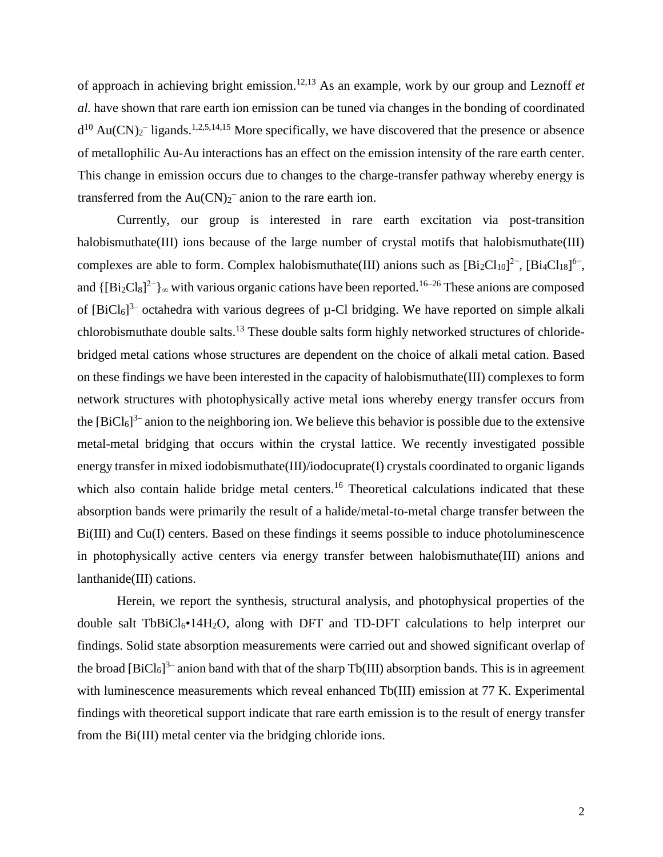of approach in achieving bright emission. 12,13 As an example, work by our group and Leznoff *et al.* have shown that rare earth ion emission can be tuned via changes in the bonding of coordinated  $d^{10}$  Au(CN)<sub>2</sub><sup>-</sup> ligands.<sup>1,2,5,14,15</sup> More specifically, we have discovered that the presence or absence of metallophilic Au-Au interactions has an effect on the emission intensity of the rare earth center. This change in emission occurs due to changes to the charge-transfer pathway whereby energy is transferred from the  $Au(CN)_2$ <sup>-</sup> anion to the rare earth ion.

Currently, our group is interested in rare earth excitation via post-transition halobismuthate(III) ions because of the large number of crystal motifs that halobismuthate(III) complexes are able to form. Complex halobismuthate(III) anions such as  $[\text{Bi}_2\text{Cl}_{10}]^2$ <sup>-</sup>,  $[\text{Bi}_4\text{Cl}_{18}]^6$ <sup>-</sup>, and  $\{[\text{Bi}_2\text{Cl}_8]^2\}$ <sub>∞</sub> with various organic cations have been reported.<sup>16–26</sup> These anions are composed of  $[BiCl_6]^3$  octahedra with various degrees of  $\mu$ -Cl bridging. We have reported on simple alkali chlorobismuthate double salts.<sup>13</sup> These double salts form highly networked structures of chloridebridged metal cations whose structures are dependent on the choice of alkali metal cation. Based on these findings we have been interested in the capacity of halobismuthate(III) complexes to form network structures with photophysically active metal ions whereby energy transfer occurs from the  $[BiCl_6]^3$  anion to the neighboring ion. We believe this behavior is possible due to the extensive metal-metal bridging that occurs within the crystal lattice. We recently investigated possible energy transfer in mixed iodobismuthate(III)/iodocuprate(I) crystals coordinated to organic ligands which also contain halide bridge metal centers.<sup>16</sup> Theoretical calculations indicated that these absorption bands were primarily the result of a halide/metal-to-metal charge transfer between the Bi(III) and Cu(I) centers. Based on these findings it seems possible to induce photoluminescence in photophysically active centers via energy transfer between halobismuthate(III) anions and lanthanide(III) cations.

Herein, we report the synthesis, structural analysis, and photophysical properties of the double salt TbBiCl<sub>6</sub>•14H<sub>2</sub>O, along with DFT and TD-DFT calculations to help interpret our findings. Solid state absorption measurements were carried out and showed significant overlap of the broad  $[\text{BiCl}_6]^3$  anion band with that of the sharp Tb(III) absorption bands. This is in agreement with luminescence measurements which reveal enhanced Tb(III) emission at 77 K. Experimental findings with theoretical support indicate that rare earth emission is to the result of energy transfer from the Bi(III) metal center via the bridging chloride ions.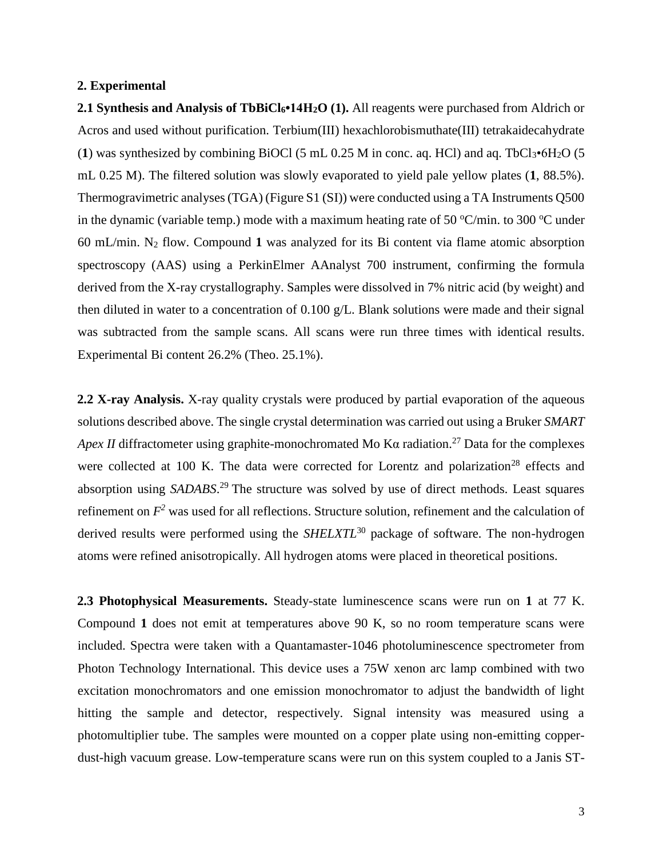### **2. Experimental**

**2.1 Synthesis and Analysis of TbBiCl6•14H2O (1).** All reagents were purchased from Aldrich or Acros and used without purification. Terbium(III) hexachlorobismuthate(III) tetrakaidecahydrate (1) was synthesized by combining BiOCl (5 mL  $0.25$  M in conc. aq. HCl) and aq. TbCl<sub>3</sub> $\cdot$ 6H<sub>2</sub>O (5) mL 0.25 M). The filtered solution was slowly evaporated to yield pale yellow plates (**1**, 88.5%). Thermogravimetric analyses (TGA) (Figure S1 (SI)) were conducted using a TA Instruments Q500 in the dynamic (variable temp.) mode with a maximum heating rate of 50  $\mathrm{C/min}$ . to 300  $\mathrm{C}$  under 60 mL/min. N<sup>2</sup> flow. Compound **1** was analyzed for its Bi content via flame atomic absorption spectroscopy (AAS) using a PerkinElmer AAnalyst 700 instrument, confirming the formula derived from the X-ray crystallography. Samples were dissolved in 7% nitric acid (by weight) and then diluted in water to a concentration of 0.100 g/L. Blank solutions were made and their signal was subtracted from the sample scans. All scans were run three times with identical results. Experimental Bi content 26.2% (Theo. 25.1%).

**2.2 X-ray Analysis.** X-ray quality crystals were produced by partial evaporation of the aqueous solutions described above. The single crystal determination was carried out using a Bruker *SMART Apex II* diffractometer using graphite-monochromated Mo K $\alpha$  radiation.<sup>27</sup> Data for the complexes were collected at 100 K. The data were corrected for Lorentz and polarization<sup>28</sup> effects and absorption using *SADABS*. <sup>29</sup> The structure was solved by use of direct methods. Least squares refinement on *F <sup>2</sup>* was used for all reflections. Structure solution, refinement and the calculation of derived results were performed using the *SHELXTL*<sup>30</sup> package of software. The non-hydrogen atoms were refined anisotropically. All hydrogen atoms were placed in theoretical positions.

**2.3 Photophysical Measurements.** Steady-state luminescence scans were run on **1** at 77 K. Compound **1** does not emit at temperatures above 90 K, so no room temperature scans were included. Spectra were taken with a Quantamaster-1046 photoluminescence spectrometer from Photon Technology International. This device uses a 75W xenon arc lamp combined with two excitation monochromators and one emission monochromator to adjust the bandwidth of light hitting the sample and detector, respectively. Signal intensity was measured using a photomultiplier tube. The samples were mounted on a copper plate using non-emitting copperdust-high vacuum grease. Low-temperature scans were run on this system coupled to a Janis ST-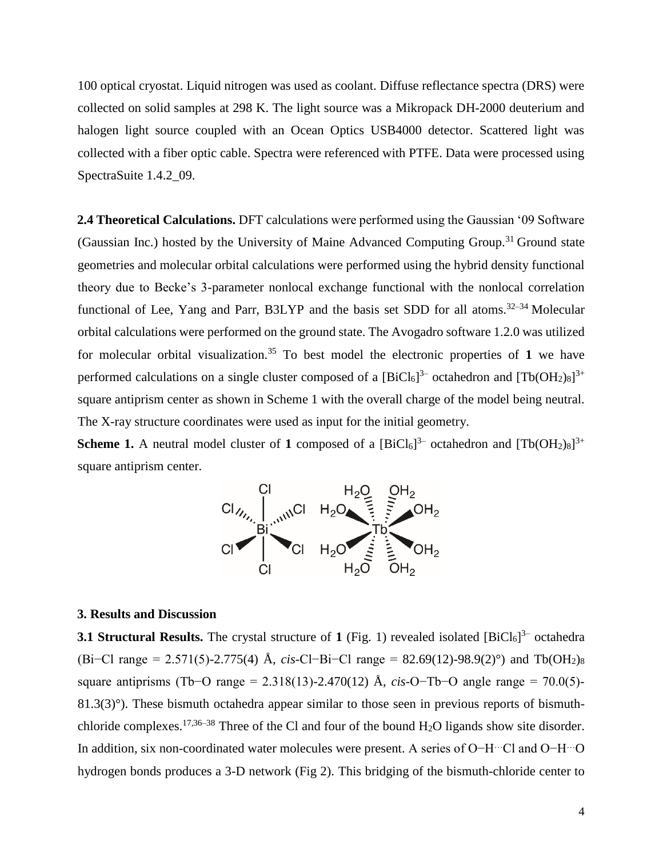100 optical cryostat. Liquid nitrogen was used as coolant. Diffuse reflectance spectra (DRS) were collected on solid samples at 298 K. The light source was a Mikropack DH-2000 deuterium and halogen light source coupled with an Ocean Optics USB4000 detector. Scattered light was collected with a fiber optic cable. Spectra were referenced with PTFE. Data were processed using SpectraSuite 1.4.2\_09.

**2.4 Theoretical Calculations.** DFT calculations were performed using the Gaussian '09 Software (Gaussian Inc.) hosted by the University of Maine Advanced Computing Group.<sup>31</sup> Ground state geometries and molecular orbital calculations were performed using the hybrid density functional theory due to Becke's 3-parameter nonlocal exchange functional with the nonlocal correlation functional of Lee, Yang and Parr, B3LYP and the basis set SDD for all atoms.<sup>32–34</sup> Molecular orbital calculations were performed on the ground state. The Avogadro software 1.2.0 was utilized for molecular orbital visualization.<sup>35</sup> To best model the electronic properties of  $1$  we have performed calculations on a single cluster composed of a  $[BiCl_6]^{3-}$  octahedron and  $[Tb(OH_2)_8]^{3+}$ square antiprism center as shown in Scheme 1 with the overall charge of the model being neutral. The X-ray structure coordinates were used as input for the initial geometry.

**Scheme 1.** A neutral model cluster of 1 composed of a  $[\text{BiCl}_6]^3$  octahedron and  $[\text{Tb(OH}_2)_8]^{3+}$ square antiprism center.



#### **3. Results and Discussion**

**3.1 Structural Results.** The crystal structure of 1 (Fig. 1) revealed isolated [BiCl<sub>6</sub>]<sup>3–</sup> octahedra (Bi−Cl range = 2.571(5)-2.775(4) Å, *cis*-Cl−Bi−Cl range = 82.69(12)-98.9(2)°) and Tb(OH2)<sup>8</sup> square antiprisms (Tb−O range = 2.318(13)-2.470(12) Å, *cis*-O−Tb−O angle range = 70.0(5)-  $81.3(3)^\circ$ ). These bismuth octahedra appear similar to those seen in previous reports of bismuthchloride complexes.<sup>17,36–38</sup> Three of the Cl and four of the bound H<sub>2</sub>O ligands show site disorder. In addition, six non-coordinated water molecules were present. A series of O−H…Cl and O−H…O hydrogen bonds produces a 3-D network (Fig 2). This bridging of the bismuth-chloride center to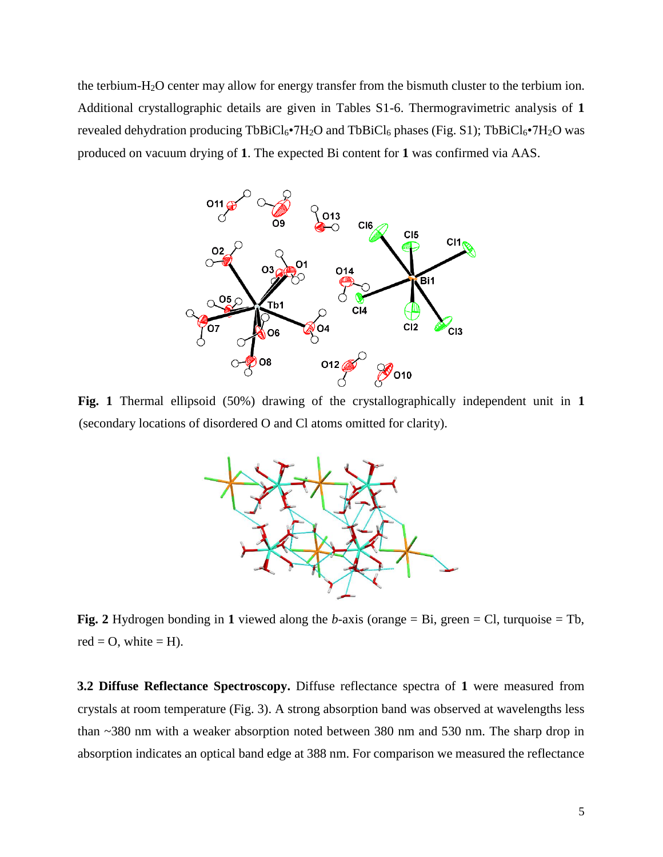the terbium-H2O center may allow for energy transfer from the bismuth cluster to the terbium ion. Additional crystallographic details are given in Tables S1-6. Thermogravimetric analysis of **1** revealed dehydration producing  $TbBiCl_6\bullet 7H_2O$  and  $TbBiCl_6$  phases (Fig. S1);  $TbBiCl_6\bullet 7H_2O$  was produced on vacuum drying of **1**. The expected Bi content for **1** was confirmed via AAS.



**Fig. 1** Thermal ellipsoid (50%) drawing of the crystallographically independent unit in **1** (secondary locations of disordered O and Cl atoms omitted for clarity).



**Fig. 2** Hydrogen bonding in **1** viewed along the *b*-axis (orange = Bi, green = Cl, turquoise = Tb,  $red = 0$ , white  $= H$ ).

**3.2 Diffuse Reflectance Spectroscopy.** Diffuse reflectance spectra of **1** were measured from crystals at room temperature (Fig. 3). A strong absorption band was observed at wavelengths less than ~380 nm with a weaker absorption noted between 380 nm and 530 nm. The sharp drop in absorption indicates an optical band edge at 388 nm. For comparison we measured the reflectance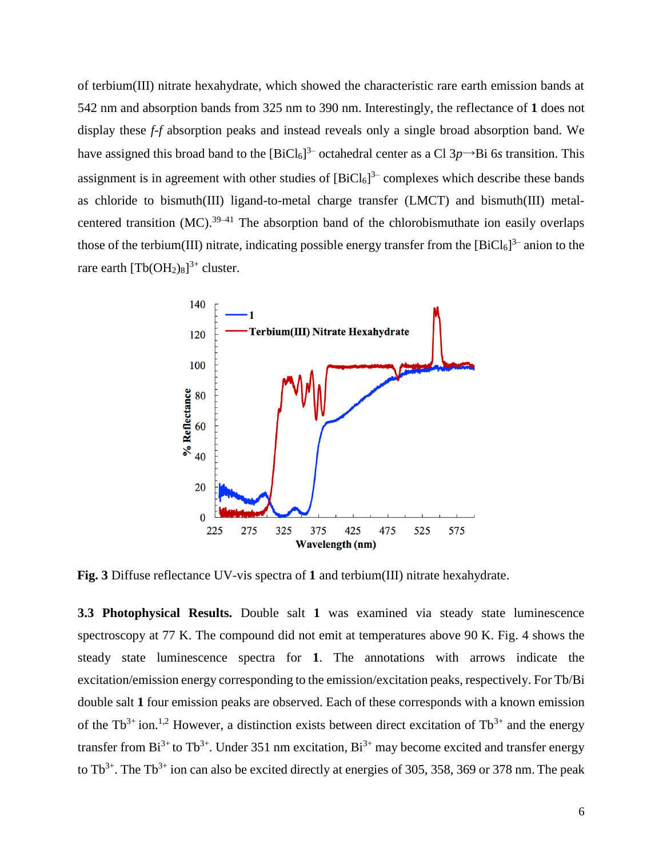of terbium(III) nitrate hexahydrate, which showed the characteristic rare earth emission bands at 542 nm and absorption bands from 325 nm to 390 nm. Interestingly, the reflectance of **1** does not display these *f-f* absorption peaks and instead reveals only a single broad absorption band. We have assigned this broad band to the  $[BiCl_6]^3$  octahedral center as a Cl  $3p \rightarrow Bi$  6*s* transition. This assignment is in agreement with other studies of  $[BiCl_6]$ <sup>3-</sup> complexes which describe these bands as chloride to bismuth(III) ligand-to-metal charge transfer (LMCT) and bismuth(III) metalcentered transition (MC).<sup>39–41</sup> The absorption band of the chlorobismuthate ion easily overlaps those of the terbium(III) nitrate, indicating possible energy transfer from the  $[BiCl_6]^3$  anion to the rare earth  $[\text{Tb(OH<sub>2</sub>)<sub>8</sub>]<sup>3+</sup> cluster.$ 



**Fig. 3** Diffuse reflectance UV-vis spectra of **1** and terbium(III) nitrate hexahydrate.

**3.3 Photophysical Results.** Double salt **1** was examined via steady state luminescence spectroscopy at 77 K. The compound did not emit at temperatures above 90 K. Fig. 4 shows the steady state luminescence spectra for **1**. The annotations with arrows indicate the excitation/emission energy corresponding to the emission/excitation peaks, respectively. For Tb/Bi double salt **1** four emission peaks are observed. Each of these corresponds with a known emission of the Tb<sup>3+</sup> ion.<sup>1,2</sup> However, a distinction exists between direct excitation of Tb<sup>3+</sup> and the energy transfer from  $Bi^{3+}$  to Tb<sup>3+</sup>. Under 351 nm excitation,  $Bi^{3+}$  may become excited and transfer energy to  $Tb^{3+}$ . The T $b^{3+}$  ion can also be excited directly at energies of 305, 358, 369 or 378 nm. The peak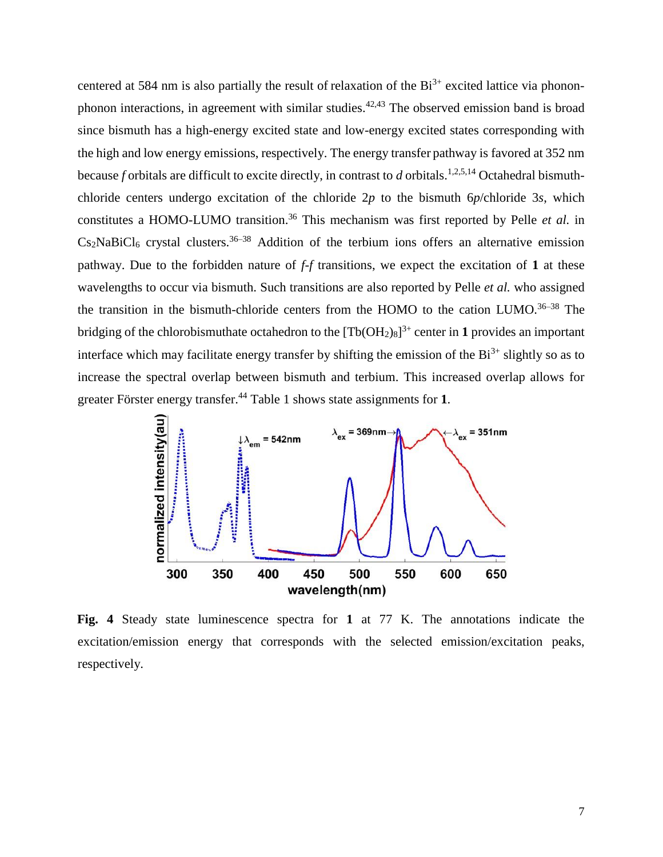centered at 584 nm is also partially the result of relaxation of the  $Bi^{3+}$  excited lattice via phononphonon interactions, in agreement with similar studies.<sup>42,43</sup> The observed emission band is broad since bismuth has a high-energy excited state and low-energy excited states corresponding with the high and low energy emissions, respectively. The energy transfer pathway is favored at 352 nm because *f* orbitals are difficult to excite directly, in contrast to *d* orbitals.<sup>1,2,5,14</sup> Octahedral bismuthchloride centers undergo excitation of the chloride 2*p* to the bismuth 6*p*/chloride 3*s*, which constitutes a HOMO-LUMO transition.<sup>36</sup> This mechanism was first reported by Pelle *et al.* in  $Cs<sub>2</sub>NaBiCl<sub>6</sub>$  crystal clusters.<sup>36–38</sup> Addition of the terbium ions offers an alternative emission pathway. Due to the forbidden nature of *f-f* transitions, we expect the excitation of **1** at these wavelengths to occur via bismuth. Such transitions are also reported by Pelle *et al.* who assigned the transition in the bismuth-chloride centers from the HOMO to the cation LUMO.<sup>36–38</sup> The bridging of the chlorobismuthate octahedron to the  $[Th(OH<sub>2</sub>)<sub>8</sub>]$ <sup>3+</sup> center in **1** provides an important interface which may facilitate energy transfer by shifting the emission of the  $Bi^{3+}$  slightly so as to increase the spectral overlap between bismuth and terbium. This increased overlap allows for greater Förster energy transfer.<sup>44</sup> Table 1 shows state assignments for **1**.



**Fig. 4** Steady state luminescence spectra for **1** at 77 K. The annotations indicate the excitation/emission energy that corresponds with the selected emission/excitation peaks, respectively.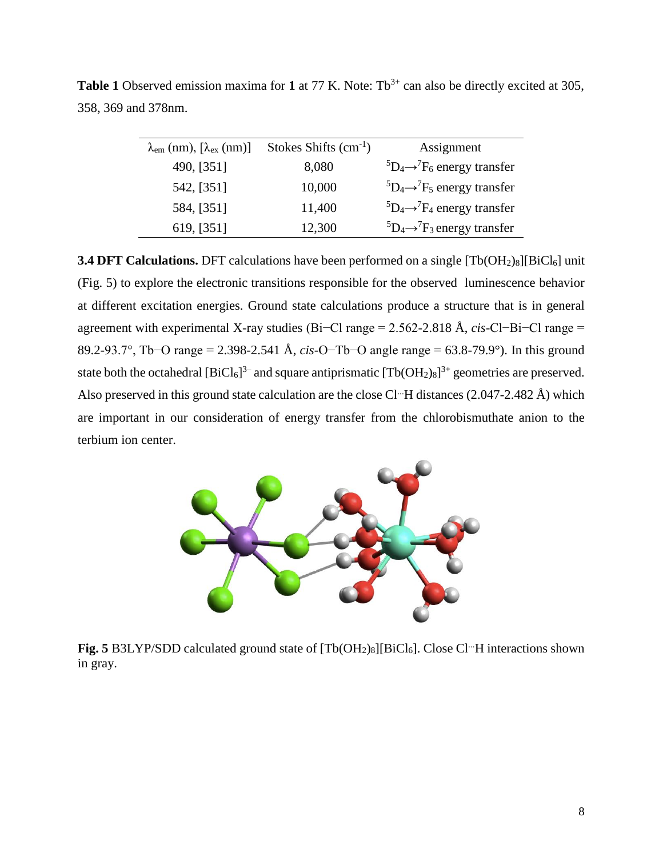| $\lambda_{\rm em}$ (nm), $[\lambda_{\rm ex}$ (nm)] | Stokes Shifts $(cm-1)$ | Assignment                                    |
|----------------------------------------------------|------------------------|-----------------------------------------------|
| 490, [351]                                         | 8,080                  | ${}^5D_4 \rightarrow {}^7F_6$ energy transfer |
| 542, [351]                                         | 10,000                 | ${}^5D_4 \rightarrow {}^7F_5$ energy transfer |
| 584, [351]                                         | 11,400                 | ${}^5D_4 \rightarrow {}^7F_4$ energy transfer |
| 619, [351]                                         | 12,300                 | ${}^5D_4 \rightarrow {}^7F_3$ energy transfer |

**Table 1** Observed emission maxima for **1** at 77 K. Note: Tb<sup>3+</sup> can also be directly excited at 305, 358, 369 and 378nm.

**3.4 DFT Calculations.** DFT calculations have been performed on a single [Tb(OH<sub>2</sub>)<sub>8</sub>][BiCl<sub>6</sub>] unit (Fig. 5) to explore the electronic transitions responsible for the observed luminescence behavior at different excitation energies. Ground state calculations produce a structure that is in general agreement with experimental X-ray studies (Bi−Cl range = 2.562-2.818 Å, *cis*-Cl−Bi−Cl range = 89.2-93.7°, Tb−O range = 2.398-2.541 Å, *cis*-O−Tb−O angle range = 63.8-79.9°). In this ground state both the octahedral  $[BiCl_6]^{3-}$  and square antiprismatic  $[Tb(OH_2)_8]^{3+}$  geometries are preserved. Also preserved in this ground state calculation are the close Cl<sup>...</sup>H distances (2.047-2.482 Å) which are important in our consideration of energy transfer from the chlorobismuthate anion to the terbium ion center.



**Fig. 5** B3LYP/SDD calculated ground state of [Tb(OH<sub>2</sub>)<sub>8</sub>][BiCl<sub>6</sub>]. Close Cl<sup>...</sup>H interactions shown in gray.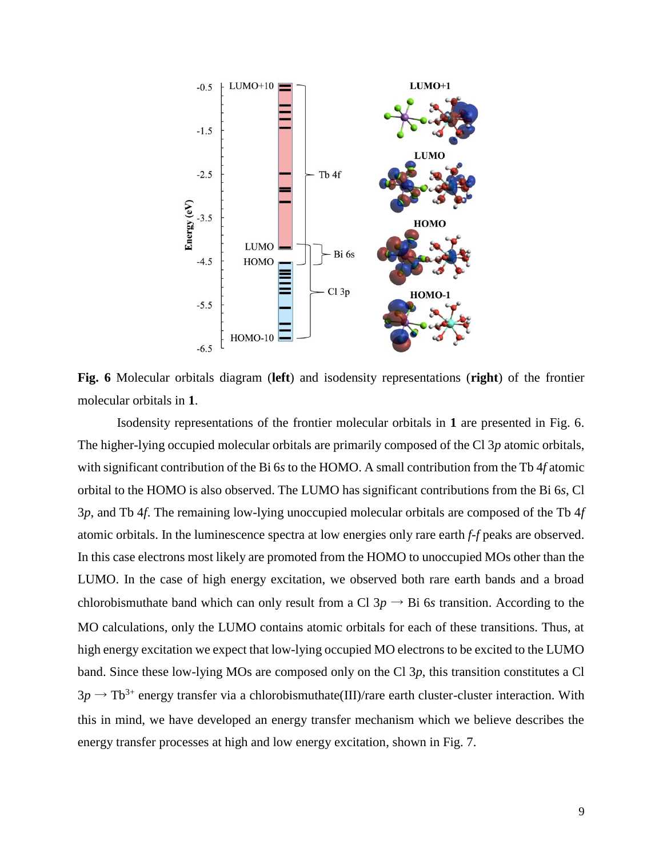

**Fig. 6** Molecular orbitals diagram (**left**) and isodensity representations (**right**) of the frontier molecular orbitals in **1**.

Isodensity representations of the frontier molecular orbitals in **1** are presented in Fig. 6. The higher-lying occupied molecular orbitals are primarily composed of the Cl 3*p* atomic orbitals, with significant contribution of the Bi 6*s* to the HOMO. A small contribution from the Tb 4*f* atomic orbital to the HOMO is also observed. The LUMO has significant contributions from the Bi 6*s*, Cl 3*p*, and Tb 4*f*. The remaining low-lying unoccupied molecular orbitals are composed of the Tb 4*f* atomic orbitals. In the luminescence spectra at low energies only rare earth *f-f* peaks are observed. In this case electrons most likely are promoted from the HOMO to unoccupied MOs other than the LUMO. In the case of high energy excitation, we observed both rare earth bands and a broad chlorobismuthate band which can only result from a Cl  $3p \rightarrow Bi$  6*s* transition. According to the MO calculations, only the LUMO contains atomic orbitals for each of these transitions. Thus, at high energy excitation we expect that low-lying occupied MO electrons to be excited to the LUMO band. Since these low-lying MOs are composed only on the Cl 3*p*, this transition constitutes a Cl  $3p \rightarrow Tb^{3+}$  energy transfer via a chlorobismuthate(III)/rare earth cluster-cluster interaction. With this in mind, we have developed an energy transfer mechanism which we believe describes the energy transfer processes at high and low energy excitation, shown in Fig. 7.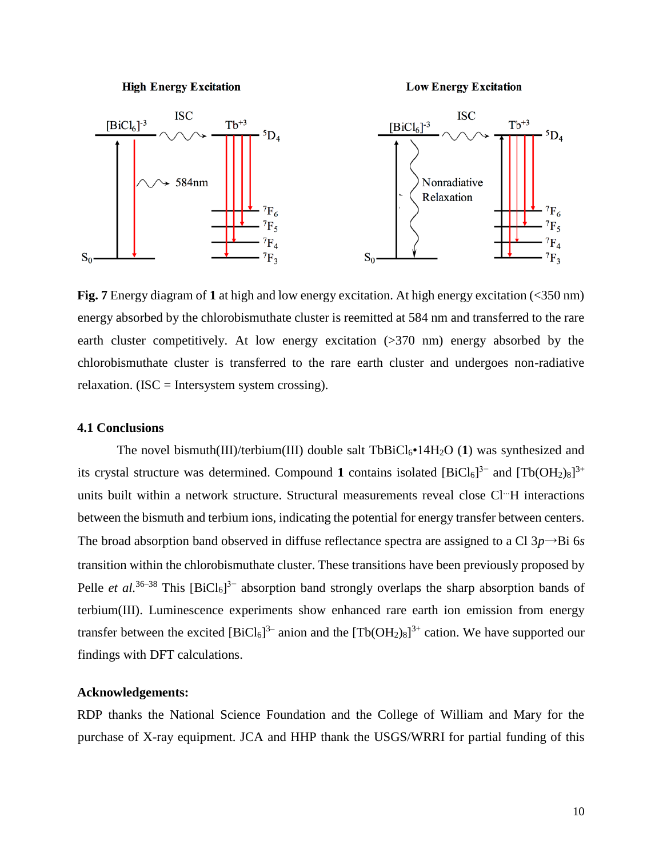#### **High Energy Excitation**

**Low Energy Excitation** 



**Fig. 7** Energy diagram of **1** at high and low energy excitation. At high energy excitation (<350 nm) energy absorbed by the chlorobismuthate cluster is reemitted at 584 nm and transferred to the rare earth cluster competitively. At low energy excitation (>370 nm) energy absorbed by the chlorobismuthate cluster is transferred to the rare earth cluster and undergoes non-radiative relaxation. (ISC = Intersystem system crossing).

# **4.1 Conclusions**

The novel bismuth(III)/terbium(III) double salt TbBiCl<sub>6</sub>•14H<sub>2</sub>O (1) was synthesized and its crystal structure was determined. Compound 1 contains isolated  $[Bicl_6]^{3-}$  and  $[Tb(OH_2)_8]^{3+}$ units built within a network structure. Structural measurements reveal close Cl<sup>--</sup>H interactions between the bismuth and terbium ions, indicating the potential for energy transfer between centers. The broad absorption band observed in diffuse reflectance spectra are assigned to a Cl  $3p \rightarrow Bi$  6*s* transition within the chlorobismuthate cluster. These transitions have been previously proposed by Pelle *et al.*<sup>36–38</sup> This  $[BiCl_6]$ <sup>3–</sup> absorption band strongly overlaps the sharp absorption bands of terbium(III). Luminescence experiments show enhanced rare earth ion emission from energy transfer between the excited  $[BiCl_6]^3$  anion and the  $[Tb(OH_2)_8]^{3+}$  cation. We have supported our findings with DFT calculations.

## **Acknowledgements:**

RDP thanks the National Science Foundation and the College of William and Mary for the purchase of X-ray equipment. JCA and HHP thank the USGS/WRRI for partial funding of this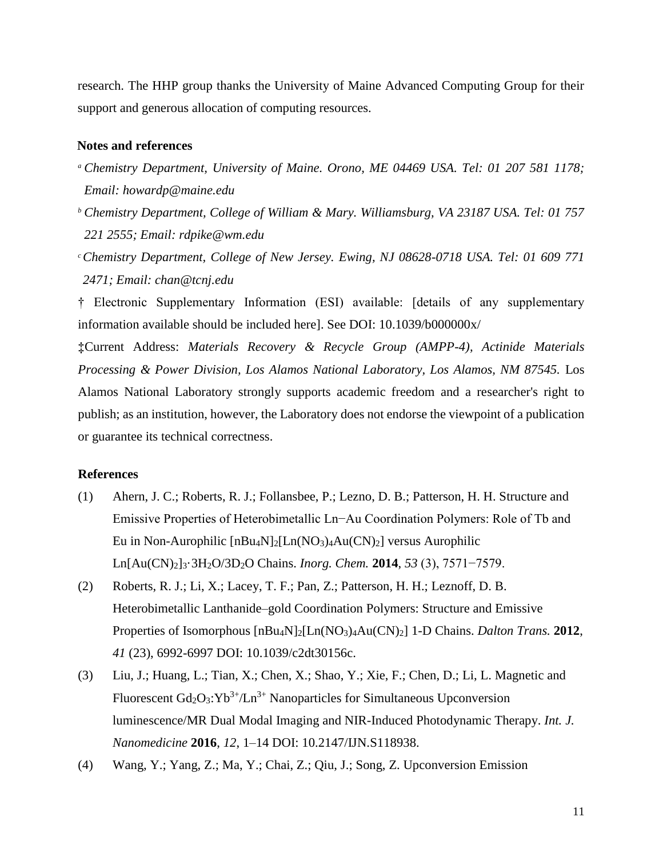research. The HHP group thanks the University of Maine Advanced Computing Group for their support and generous allocation of computing resources.

## **Notes and references**

- *<sup>a</sup> Chemistry Department, University of Maine. Orono, ME 04469 USA. Tel: 01 207 581 1178; Email: howardp@maine.edu*
- *<sup>b</sup> Chemistry Department, College of William & Mary. Williamsburg, VA 23187 USA. Tel: 01 757 221 2555; Email: rdpike@wm.edu*
- *<sup>c</sup>Chemistry Department, College of New Jersey. Ewing, NJ 08628-0718 USA. Tel: 01 609 771 2471; Email: chan@tcnj.edu*

† Electronic Supplementary Information (ESI) available: [details of any supplementary information available should be included here]. See DOI: 10.1039/b000000x/

**‡**Current Address: *Materials Recovery & Recycle Group (AMPP-4), Actinide Materials Processing & Power Division, Los Alamos National Laboratory, Los Alamos, NM 87545.* Los Alamos National Laboratory strongly supports academic freedom and a researcher's right to publish; as an institution, however, the Laboratory does not endorse the viewpoint of a publication or guarantee its technical correctness.

#### **References**

- (1) Ahern, J. C.; Roberts, R. J.; Follansbee, P.; Lezno, D. B.; Patterson, H. H. Structure and Emissive Properties of Heterobimetallic Ln−Au Coordination Polymers: Role of Tb and Eu in Non-Aurophilic  $[nBu_4N]_2[Ln(NO_3)_4Au(CN)_2]$  versus Aurophilic Ln[Au(CN)2]3·3H2O/3D2O Chains. *Inorg. Chem.* **2014**, *53* (3), 7571−7579.
- (2) Roberts, R. J.; Li, X.; Lacey, T. F.; Pan, Z.; Patterson, H. H.; Leznoff, D. B. Heterobimetallic Lanthanide–gold Coordination Polymers: Structure and Emissive Properties of Isomorphous [nBu4N]2[Ln(NO3)4Au(CN)2] 1-D Chains. *Dalton Trans.* **2012**, *41* (23), 6992-6997 DOI: 10.1039/c2dt30156c.
- (3) Liu, J.; Huang, L.; Tian, X.; Chen, X.; Shao, Y.; Xie, F.; Chen, D.; Li, L. Magnetic and Fluorescent  $Gd_2O_3$ :  $Yb^{3+}/Ln^{3+}$  Nanoparticles for Simultaneous Upconversion luminescence/MR Dual Modal Imaging and NIR-Induced Photodynamic Therapy. *Int. J. Nanomedicine* **2016**, *12*, 1–14 DOI: 10.2147/IJN.S118938.
- (4) Wang, Y.; Yang, Z.; Ma, Y.; Chai, Z.; Qiu, J.; Song, Z. Upconversion Emission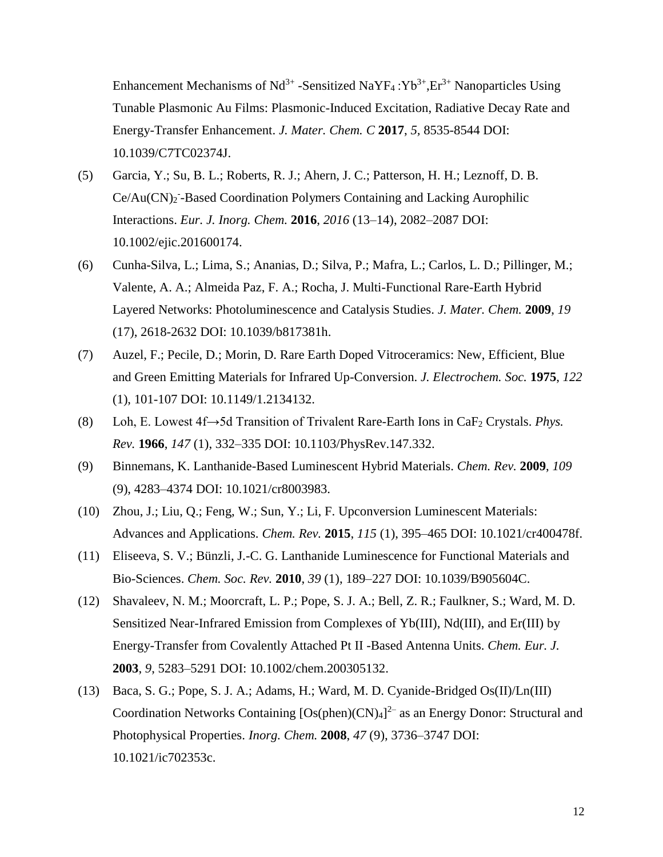Enhancement Mechanisms of  $Nd^{3+}$ -Sensitized NaYF<sub>4</sub>:Yb<sup>3+</sup>,Er<sup>3+</sup> Nanoparticles Using Tunable Plasmonic Au Films: Plasmonic-Induced Excitation, Radiative Decay Rate and Energy-Transfer Enhancement. *J. Mater. Chem. C* **2017**, *5,* 8535-8544 DOI: 10.1039/C7TC02374J.

- (5) Garcia, Y.; Su, B. L.; Roberts, R. J.; Ahern, J. C.; Patterson, H. H.; Leznoff, D. B. Ce/Au(CN)<sub>2</sub><sup>-</sup>-Based Coordination Polymers Containing and Lacking Aurophilic Interactions. *Eur. J. Inorg. Chem.* **2016**, *2016* (13–14), 2082–2087 DOI: 10.1002/ejic.201600174.
- (6) Cunha-Silva, L.; Lima, S.; Ananias, D.; Silva, P.; Mafra, L.; Carlos, L. D.; Pillinger, M.; Valente, A. A.; Almeida Paz, F. A.; Rocha, J. Multi-Functional Rare-Earth Hybrid Layered Networks: Photoluminescence and Catalysis Studies. *J. Mater. Chem.* **2009**, *19* (17), 2618-2632 DOI: 10.1039/b817381h.
- (7) Auzel, F.; Pecile, D.; Morin, D. Rare Earth Doped Vitroceramics: New, Efficient, Blue and Green Emitting Materials for Infrared Up-Conversion. *J. Electrochem. Soc.* **1975**, *122* (1), 101-107 DOI: 10.1149/1.2134132.
- (8) Loh, E. Lowest 4f→5d Transition of Trivalent Rare-Earth Ions in CaF<sup>2</sup> Crystals. *Phys. Rev.* **1966**, *147* (1), 332–335 DOI: 10.1103/PhysRev.147.332.
- (9) Binnemans, K. Lanthanide-Based Luminescent Hybrid Materials. *Chem. Rev.* **2009**, *109* (9), 4283–4374 DOI: 10.1021/cr8003983.
- (10) Zhou, J.; Liu, Q.; Feng, W.; Sun, Y.; Li, F. Upconversion Luminescent Materials: Advances and Applications. *Chem. Rev.* **2015**, *115* (1), 395–465 DOI: 10.1021/cr400478f.
- (11) Eliseeva, S. V.; Bünzli, J.-C. G. Lanthanide Luminescence for Functional Materials and Bio-Sciences. *Chem. Soc. Rev.* **2010**, *39* (1), 189–227 DOI: 10.1039/B905604C.
- (12) Shavaleev, N. M.; Moorcraft, L. P.; Pope, S. J. A.; Bell, Z. R.; Faulkner, S.; Ward, M. D. Sensitized Near-Infrared Emission from Complexes of Yb(III), Nd(III), and Er(III) by Energy-Transfer from Covalently Attached Pt II -Based Antenna Units. *Chem. Eur. J.* **2003**, *9*, 5283–5291 DOI: 10.1002/chem.200305132.
- (13) Baca, S. G.; Pope, S. J. A.; Adams, H.; Ward, M. D. Cyanide-Bridged Os(II)/Ln(III) Coordination Networks Containing  $[Os(phen)(CN)<sub>4</sub>]$ <sup>2-</sup> as an Energy Donor: Structural and Photophysical Properties. *Inorg. Chem.* **2008**, *47* (9), 3736–3747 DOI: 10.1021/ic702353c.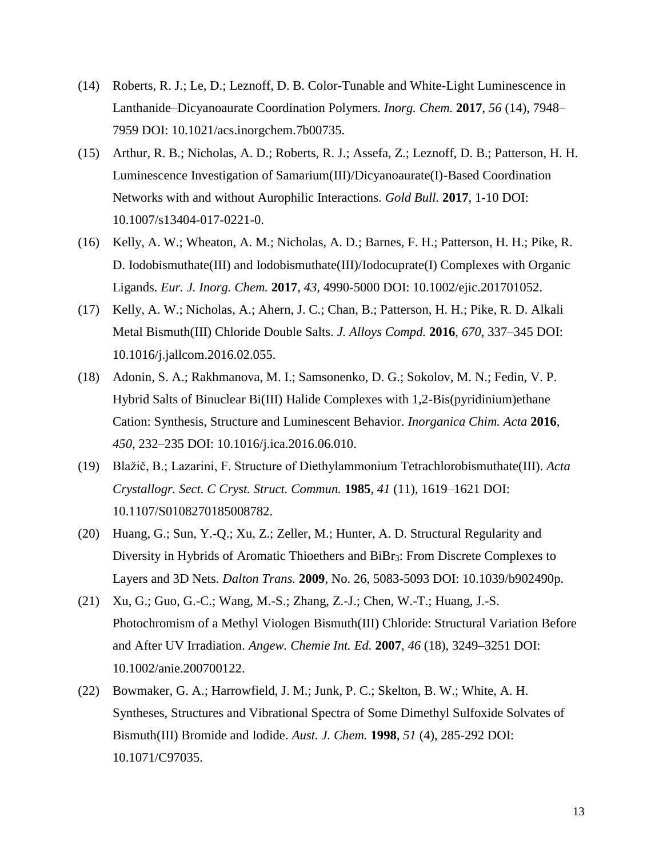- (14) Roberts, R. J.; Le, D.; Leznoff, D. B. Color-Tunable and White-Light Luminescence in Lanthanide–Dicyanoaurate Coordination Polymers. *Inorg. Chem.* **2017**, *56* (14), 7948– 7959 DOI: 10.1021/acs.inorgchem.7b00735.
- (15) Arthur, R. B.; Nicholas, A. D.; Roberts, R. J.; Assefa, Z.; Leznoff, D. B.; Patterson, H. H. Luminescence Investigation of Samarium(III)/Dicyanoaurate(I)-Based Coordination Networks with and without Aurophilic Interactions. *Gold Bull.* **2017**, 1-10 DOI: 10.1007/s13404-017-0221-0.
- (16) Kelly, A. W.; Wheaton, A. M.; Nicholas, A. D.; Barnes, F. H.; Patterson, H. H.; Pike, R. D. Iodobismuthate(III) and Iodobismuthate(III)/Iodocuprate(I) Complexes with Organic Ligands. *Eur. J. Inorg. Chem.* **2017**, *43,* 4990-5000 DOI: 10.1002/ejic.201701052.
- (17) Kelly, A. W.; Nicholas, A.; Ahern, J. C.; Chan, B.; Patterson, H. H.; Pike, R. D. Alkali Metal Bismuth(III) Chloride Double Salts. *J. Alloys Compd.* **2016**, *670*, 337–345 DOI: 10.1016/j.jallcom.2016.02.055.
- (18) Adonin, S. A.; Rakhmanova, M. I.; Samsonenko, D. G.; Sokolov, M. N.; Fedin, V. P. Hybrid Salts of Binuclear Bi(III) Halide Complexes with 1,2-Bis(pyridinium)ethane Cation: Synthesis, Structure and Luminescent Behavior. *Inorganica Chim. Acta* **2016**, *450*, 232–235 DOI: 10.1016/j.ica.2016.06.010.
- (19) Blažič, B.; Lazarini, F. Structure of Diethylammonium Tetrachlorobismuthate(III). *Acta Crystallogr. Sect. C Cryst. Struct. Commun.* **1985**, *41* (11), 1619–1621 DOI: 10.1107/S0108270185008782.
- (20) Huang, G.; Sun, Y.-Q.; Xu, Z.; Zeller, M.; Hunter, A. D. Structural Regularity and Diversity in Hybrids of Aromatic Thioethers and BiBr3: From Discrete Complexes to Layers and 3D Nets. *Dalton Trans.* **2009**, No. 26, 5083-5093 DOI: 10.1039/b902490p.
- (21) Xu, G.; Guo, G.-C.; Wang, M.-S.; Zhang, Z.-J.; Chen, W.-T.; Huang, J.-S. Photochromism of a Methyl Viologen Bismuth(III) Chloride: Structural Variation Before and After UV Irradiation. *Angew. Chemie Int. Ed.* **2007**, *46* (18), 3249–3251 DOI: 10.1002/anie.200700122.
- (22) Bowmaker, G. A.; Harrowfield, J. M.; Junk, P. C.; Skelton, B. W.; White, A. H. Syntheses, Structures and Vibrational Spectra of Some Dimethyl Sulfoxide Solvates of Bismuth(III) Bromide and Iodide. *Aust. J. Chem.* **1998**, *51* (4), 285-292 DOI: 10.1071/C97035.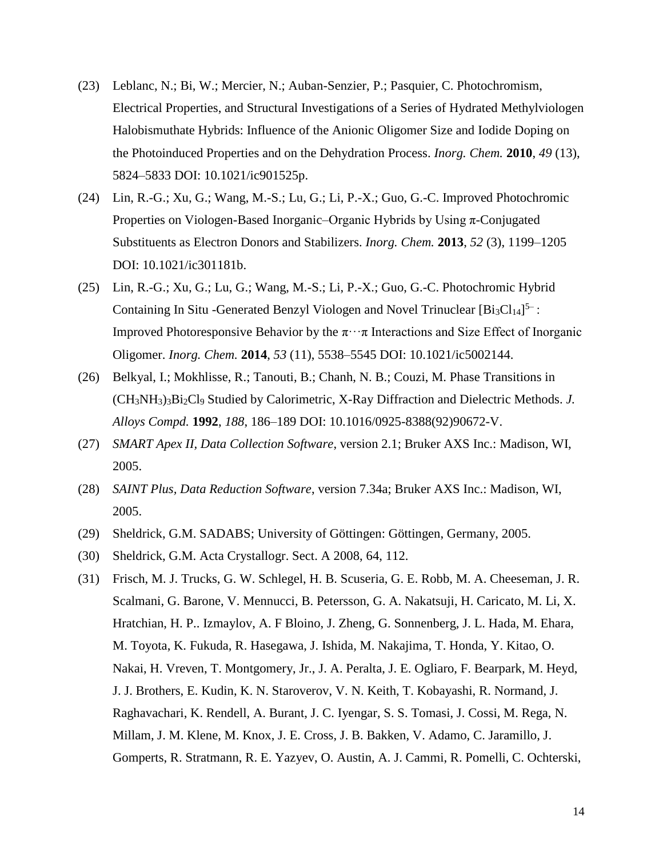- (23) Leblanc, N.; Bi, W.; Mercier, N.; Auban-Senzier, P.; Pasquier, C. Photochromism, Electrical Properties, and Structural Investigations of a Series of Hydrated Methylviologen Halobismuthate Hybrids: Influence of the Anionic Oligomer Size and Iodide Doping on the Photoinduced Properties and on the Dehydration Process. *Inorg. Chem.* **2010**, *49* (13), 5824–5833 DOI: 10.1021/ic901525p.
- (24) Lin, R.-G.; Xu, G.; Wang, M.-S.; Lu, G.; Li, P.-X.; Guo, G.-C. Improved Photochromic Properties on Viologen-Based Inorganic–Organic Hybrids by Using π-Conjugated Substituents as Electron Donors and Stabilizers. *Inorg. Chem.* **2013**, *52* (3), 1199–1205 DOI: 10.1021/ic301181b.
- (25) Lin, R.-G.; Xu, G.; Lu, G.; Wang, M.-S.; Li, P.-X.; Guo, G.-C. Photochromic Hybrid Containing In Situ -Generated Benzyl Viologen and Novel Trinuclear  $[Bi_3Cl_{14}]^{5-}$ : Improved Photoresponsive Behavior by the  $\pi \cdot \cdot \pi$  Interactions and Size Effect of Inorganic Oligomer. *Inorg. Chem.* **2014**, *53* (11), 5538–5545 DOI: 10.1021/ic5002144.
- (26) Belkyal, I.; Mokhlisse, R.; Tanouti, B.; Chanh, N. B.; Couzi, M. Phase Transitions in (CH3NH3)3Bi2Cl<sup>9</sup> Studied by Calorimetric, X-Ray Diffraction and Dielectric Methods. *J. Alloys Compd.* **1992**, *188*, 186–189 DOI: 10.1016/0925-8388(92)90672-V.
- (27) *SMART Apex II, Data Collection Software*, version 2.1; Bruker AXS Inc.: Madison, WI, 2005.
- (28) *SAINT Plus, Data Reduction Software*, version 7.34a; Bruker AXS Inc.: Madison, WI, 2005.
- (29) Sheldrick, G.M. SADABS; University of Göttingen: Göttingen, Germany, 2005.
- (30) Sheldrick, G.M. Acta Crystallogr. Sect. A 2008, 64, 112.
- (31) Frisch, M. J. Trucks, G. W. Schlegel, H. B. Scuseria, G. E. Robb, M. A. Cheeseman, J. R. Scalmani, G. Barone, V. Mennucci, B. Petersson, G. A. Nakatsuji, H. Caricato, M. Li, X. Hratchian, H. P.. Izmaylov, A. F Bloino, J. Zheng, G. Sonnenberg, J. L. Hada, M. Ehara, M. Toyota, K. Fukuda, R. Hasegawa, J. Ishida, M. Nakajima, T. Honda, Y. Kitao, O. Nakai, H. Vreven, T. Montgomery, Jr., J. A. Peralta, J. E. Ogliaro, F. Bearpark, M. Heyd, J. J. Brothers, E. Kudin, K. N. Staroverov, V. N. Keith, T. Kobayashi, R. Normand, J. Raghavachari, K. Rendell, A. Burant, J. C. Iyengar, S. S. Tomasi, J. Cossi, M. Rega, N. Millam, J. M. Klene, M. Knox, J. E. Cross, J. B. Bakken, V. Adamo, C. Jaramillo, J. Gomperts, R. Stratmann, R. E. Yazyev, O. Austin, A. J. Cammi, R. Pomelli, C. Ochterski,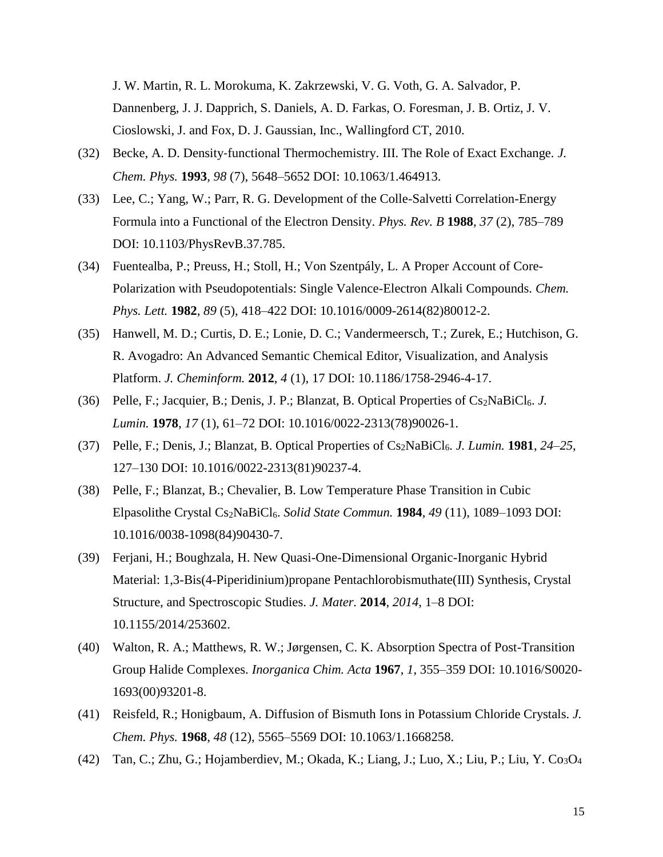J. W. Martin, R. L. Morokuma, K. Zakrzewski, V. G. Voth, G. A. Salvador, P. Dannenberg, J. J. Dapprich, S. Daniels, A. D. Farkas, O. Foresman, J. B. Ortiz, J. V. Cioslowski, J. and Fox, D. J. Gaussian, Inc., Wallingford CT, 2010.

- (32) Becke, A. D. Density‐functional Thermochemistry. III. The Role of Exact Exchange. *J. Chem. Phys.* **1993**, *98* (7), 5648–5652 DOI: 10.1063/1.464913.
- (33) Lee, C.; Yang, W.; Parr, R. G. Development of the Colle-Salvetti Correlation-Energy Formula into a Functional of the Electron Density. *Phys. Rev. B* **1988**, *37* (2), 785–789 DOI: 10.1103/PhysRevB.37.785.
- (34) Fuentealba, P.; Preuss, H.; Stoll, H.; Von Szentpály, L. A Proper Account of Core-Polarization with Pseudopotentials: Single Valence-Electron Alkali Compounds. *Chem. Phys. Lett.* **1982**, *89* (5), 418–422 DOI: 10.1016/0009-2614(82)80012-2.
- (35) Hanwell, M. D.; Curtis, D. E.; Lonie, D. C.; Vandermeersch, T.; Zurek, E.; Hutchison, G. R. Avogadro: An Advanced Semantic Chemical Editor, Visualization, and Analysis Platform. *J. Cheminform.* **2012**, *4* (1), 17 DOI: 10.1186/1758-2946-4-17.
- (36) Pelle, F.; Jacquier, B.; Denis, J. P.; Blanzat, B. Optical Properties of Cs2NaBiCl6. *J. Lumin.* **1978**, *17* (1), 61–72 DOI: 10.1016/0022-2313(78)90026-1.
- (37) Pelle, F.; Denis, J.; Blanzat, B. Optical Properties of Cs2NaBiCl6. *J. Lumin.* **1981**, *24*–*25*, 127–130 DOI: 10.1016/0022-2313(81)90237-4.
- (38) Pelle, F.; Blanzat, B.; Chevalier, B. Low Temperature Phase Transition in Cubic Elpasolithe Crystal Cs2NaBiCl6. *Solid State Commun.* **1984**, *49* (11), 1089–1093 DOI: 10.1016/0038-1098(84)90430-7.
- (39) Ferjani, H.; Boughzala, H. New Quasi-One-Dimensional Organic-Inorganic Hybrid Material: 1,3-Bis(4-Piperidinium)propane Pentachlorobismuthate(III) Synthesis, Crystal Structure, and Spectroscopic Studies. *J. Mater.* **2014**, *2014*, 1–8 DOI: 10.1155/2014/253602.
- (40) Walton, R. A.; Matthews, R. W.; Jørgensen, C. K. Absorption Spectra of Post-Transition Group Halide Complexes. *Inorganica Chim. Acta* **1967**, *1*, 355–359 DOI: 10.1016/S0020- 1693(00)93201-8.
- (41) Reisfeld, R.; Honigbaum, A. Diffusion of Bismuth Ions in Potassium Chloride Crystals. *J. Chem. Phys.* **1968**, *48* (12), 5565–5569 DOI: 10.1063/1.1668258.
- (42) Tan, C.; Zhu, G.; Hojamberdiev, M.; Okada, K.; Liang, J.; Luo, X.; Liu, P.; Liu, Y. Co3O4